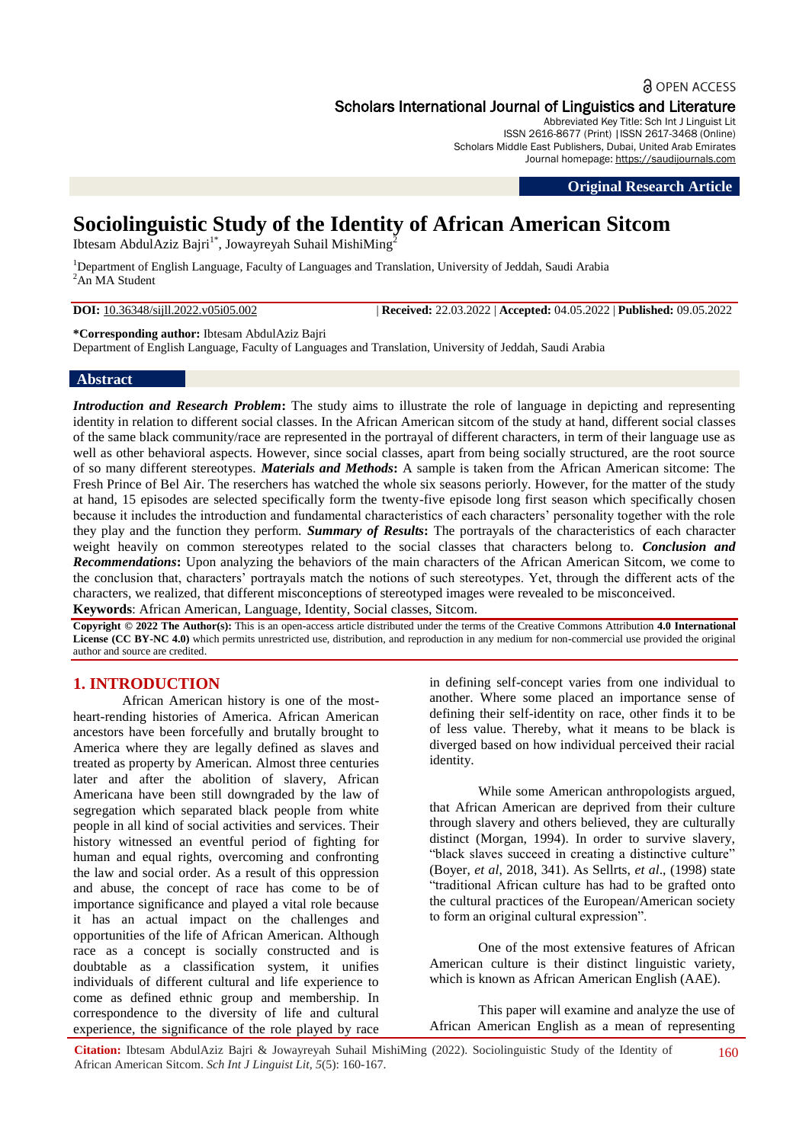# **a** OPEN ACCESS Scholars International Journal of Linguistics and Literature

Abbreviated Key Title: Sch Int J Linguist Lit ISSN 2616-8677 (Print) |ISSN 2617-3468 (Online) Scholars Middle East Publishers, Dubai, United Arab Emirates Journal homepage: https://saudijournals.com

#### **Original Research Article**

# **Sociolinguistic Study of the Identity of African American Sitcom**

Ibtesam AbdulAziz Bajri<sup>1\*</sup>, Jowayreyah Suhail MishiMing<sup>2</sup>

<sup>1</sup>Department of English Language, Faculty of Languages and Translation, University of Jeddah, Saudi Arabia  ${}^{2}$ An MA Student

**DOI:** 10.36348/sijll.2022.v05i05.002 | **Received:** 22.03.2022 | **Accepted:** 04.05.2022 | **Published:** 09.05.2022

**\*Corresponding author:** Ibtesam AbdulAziz Bajri

Department of English Language, Faculty of Languages and Translation, University of Jeddah, Saudi Arabia

#### **Abstract**

*Introduction and Research Problem***:** The study aims to illustrate the role of language in depicting and representing identity in relation to different social classes. In the African American sitcom of the study at hand, different social classes of the same black community/race are represented in the portrayal of different characters, in term of their language use as well as other behavioral aspects. However, since social classes, apart from being socially structured, are the root source of so many different stereotypes. *Materials and Methods***:** A sample is taken from the African American sitcome: The Fresh Prince of Bel Air. The reserchers has watched the whole six seasons periorly. However, for the matter of the study at hand, 15 episodes are selected specifically form the twenty-five episode long first season which specifically chosen because it includes the introduction and fundamental characteristics of each characters" personality together with the role they play and the function they perform. *Summary of Results***:** The portrayals of the characteristics of each character weight heavily on common stereotypes related to the social classes that characters belong to. *Conclusion and Recommendations***:** Upon analyzing the behaviors of the main characters of the African American Sitcom, we come to the conclusion that, characters" portrayals match the notions of such stereotypes. Yet, through the different acts of the characters, we realized, that different misconceptions of stereotyped images were revealed to be misconceived. **Keywords**: African American, Language, Identity, Social classes, Sitcom.

**Copyright © 2022 The Author(s):** This is an open-access article distributed under the terms of the Creative Commons Attribution **4.0 International License (CC BY-NC 4.0)** which permits unrestricted use, distribution, and reproduction in any medium for non-commercial use provided the original author and source are credited.

#### **1. INTRODUCTION**

African American history is one of the mostheart-rending histories of America. African American ancestors have been forcefully and brutally brought to America where they are legally defined as slaves and treated as property by American. Almost three centuries later and after the abolition of slavery, African Americana have been still downgraded by the law of segregation which separated black people from white people in all kind of social activities and services. Their history witnessed an eventful period of fighting for human and equal rights, overcoming and confronting the law and social order. As a result of this oppression and abuse, the concept of race has come to be of importance significance and played a vital role because it has an actual impact on the challenges and opportunities of the life of African American. Although race as a concept is socially constructed and is doubtable as a classification system, it unifies individuals of different cultural and life experience to come as defined ethnic group and membership. In correspondence to the diversity of life and cultural experience, the significance of the role played by race

in defining self-concept varies from one individual to another. Where some placed an importance sense of defining their self-identity on race, other finds it to be of less value. Thereby, what it means to be black is diverged based on how individual perceived their racial identity.

While some American anthropologists argued, that African American are deprived from their culture through slavery and others believed, they are culturally distinct (Morgan, 1994). In order to survive slavery, "black slaves succeed in creating a distinctive culture" (Boyer, *et al*, 2018, 341). As Sellrts, *et al*., (1998) state "traditional African culture has had to be grafted onto the cultural practices of the European/American society to form an original cultural expression".

One of the most extensive features of African American culture is their distinct linguistic variety, which is known as African American English (AAE).

This paper will examine and analyze the use of African American English as a mean of representing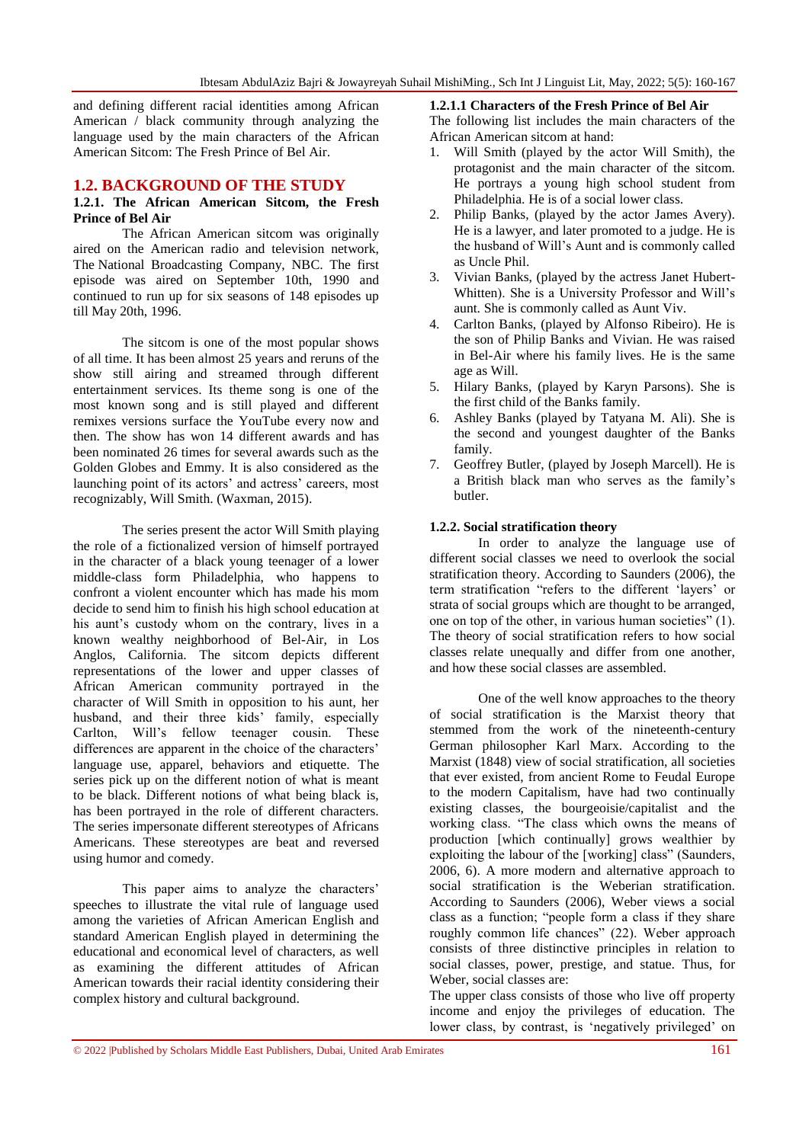and defining different racial identities among African American / black community through analyzing the language used by the main characters of the African American Sitcom: The Fresh Prince of Bel Air.

## **1.2. BACKGROUND OF THE STUDY**

## **1.2.1. The African American Sitcom, the Fresh Prince of Bel Air**

The African American sitcom was originally aired on the American radio and television network, The National Broadcasting Company, NBC. The first episode was aired on September 10th, 1990 and continued to run up for six seasons of 148 episodes up till May 20th, 1996.

The sitcom is one of the most popular shows of all time. It has been almost 25 years and reruns of the show still airing and streamed through different entertainment services. Its theme song is one of the most known song and is still played and different remixes versions surface the YouTube every now and then. The show has won 14 different awards and has been nominated 26 times for several awards such as the Golden Globes and Emmy. It is also considered as the launching point of its actors' and actress' careers, most recognizably, Will Smith. (Waxman, 2015).

The series present the actor Will Smith playing the role of a fictionalized version of himself portrayed in the character of a black young teenager of a lower middle-class form Philadelphia, who happens to confront a violent encounter which has made his mom decide to send him to finish his high school education at his aunt's custody whom on the contrary, lives in a known wealthy neighborhood of Bel-Air, in Los Anglos, California. The sitcom depicts different representations of the lower and upper classes of African American community portrayed in the character of Will Smith in opposition to his aunt, her husband, and their three kids' family, especially Carlton, Will"s fellow teenager cousin. These differences are apparent in the choice of the characters' language use, apparel, behaviors and etiquette. The series pick up on the different notion of what is meant to be black. Different notions of what being black is, has been portrayed in the role of different characters. The series impersonate different stereotypes of Africans Americans. These stereotypes are beat and reversed using humor and comedy.

This paper aims to analyze the characters' speeches to illustrate the vital rule of language used among the varieties of African American English and standard American English played in determining the educational and economical level of characters, as well as examining the different attitudes of African American towards their racial identity considering their complex history and cultural background.

**1.2.1.1 Characters of the Fresh Prince of Bel Air**

The following list includes the main characters of the African American sitcom at hand:

- 1. Will Smith (played by the actor Will Smith), the protagonist and the main character of the sitcom. He portrays a young high school student from Philadelphia. He is of a social lower class.
- 2. Philip Banks, (played by the actor James Avery). He is a lawyer, and later promoted to a judge. He is the husband of Will"s Aunt and is commonly called as Uncle Phil.
- 3. Vivian Banks, (played by the actress Janet Hubert-Whitten). She is a University Professor and Will"s aunt. She is commonly called as Aunt Viv.
- 4. Carlton Banks, (played by Alfonso Ribeiro). He is the son of Philip Banks and Vivian. He was raised in Bel-Air where his family lives. He is the same age as Will.
- 5. Hilary Banks, (played by Karyn Parsons). She is the first child of the Banks family.
- 6. Ashley Banks (played by Tatyana M. Ali). She is the second and youngest daughter of the Banks family.
- 7. Geoffrey Butler, (played by Joseph Marcell). He is a British black man who serves as the family"s butler.

#### **1.2.2. Social stratification theory**

In order to analyze the language use of different social classes we need to overlook the social stratification theory. According to Saunders (2006), the term stratification "refers to the different "layers" or strata of social groups which are thought to be arranged, one on top of the other, in various human societies" (1). The theory of social stratification refers to how social classes relate unequally and differ from one another, and how these social classes are assembled.

One of the well know approaches to the theory of social stratification is the Marxist theory that stemmed from the work of the nineteenth-century German philosopher Karl Marx. According to the Marxist (1848) view of social stratification, all societies that ever existed, from ancient Rome to Feudal Europe to the modern Capitalism, have had two continually existing classes, the bourgeoisie/capitalist and the working class. "The class which owns the means of production [which continually] grows wealthier by exploiting the labour of the [working] class" (Saunders, 2006, 6). A more modern and alternative approach to social stratification is the Weberian stratification. According to Saunders (2006), Weber views a social class as a function; "people form a class if they share roughly common life chances" (22). Weber approach consists of three distinctive principles in relation to social classes, power, prestige, and statue. Thus, for Weber, social classes are:

The upper class consists of those who live off property income and enjoy the privileges of education. The lower class, by contrast, is 'negatively privileged' on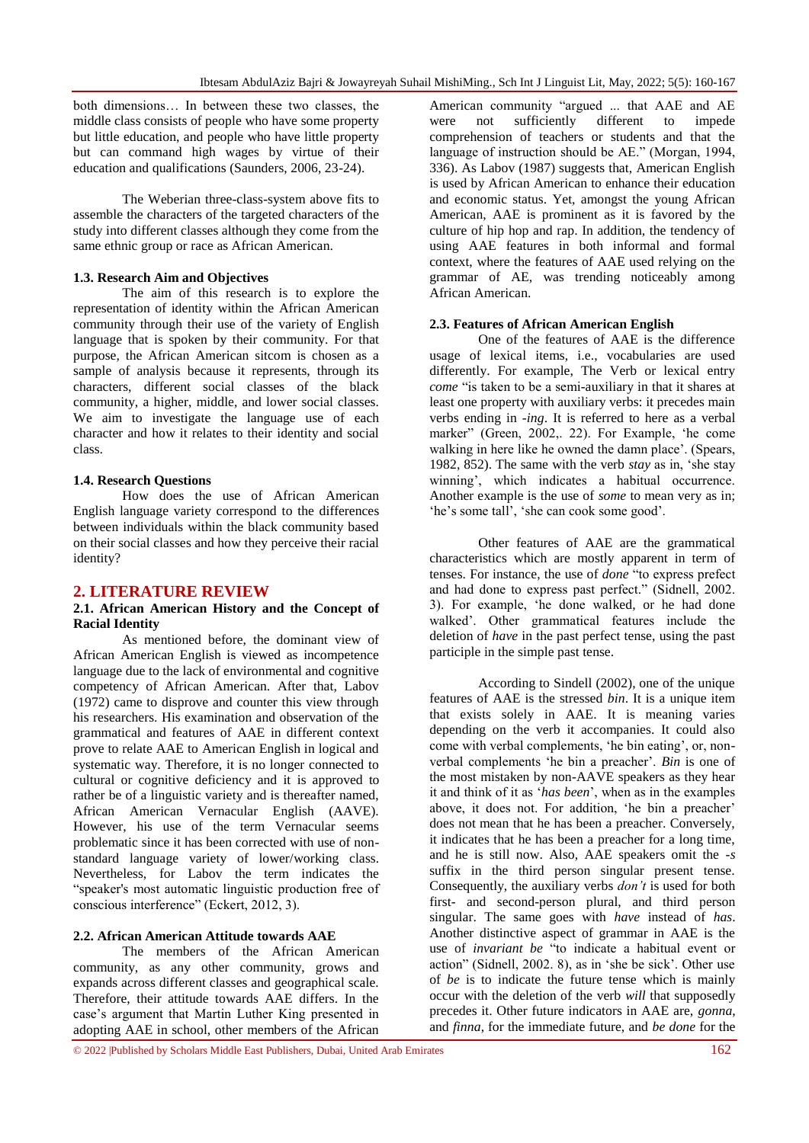both dimensions… In between these two classes, the middle class consists of people who have some property but little education, and people who have little property but can command high wages by virtue of their education and qualifications (Saunders, 2006, 23-24).

The Weberian three-class-system above fits to assemble the characters of the targeted characters of the study into different classes although they come from the same ethnic group or race as African American.

#### **1.3. Research Aim and Objectives**

The aim of this research is to explore the representation of identity within the African American community through their use of the variety of English language that is spoken by their community. For that purpose, the African American sitcom is chosen as a sample of analysis because it represents, through its characters, different social classes of the black community, a higher, middle, and lower social classes. We aim to investigate the language use of each character and how it relates to their identity and social class.

#### **1.4. Research Questions**

How does the use of African American English language variety correspond to the differences between individuals within the black community based on their social classes and how they perceive their racial identity?

#### **2. LITERATURE REVIEW**

#### **2.1. African American History and the Concept of Racial Identity**

As mentioned before, the dominant view of African American English is viewed as incompetence language due to the lack of environmental and cognitive competency of African American. After that, Labov (1972) came to disprove and counter this view through his researchers. His examination and observation of the grammatical and features of AAE in different context prove to relate AAE to American English in logical and systematic way. Therefore, it is no longer connected to cultural or cognitive deficiency and it is approved to rather be of a linguistic variety and is thereafter named, African American Vernacular English (AAVE). However, his use of the term Vernacular seems problematic since it has been corrected with use of nonstandard language variety of lower/working class. Nevertheless, for Labov the term indicates the "speaker's most automatic linguistic production free of conscious interference" (Eckert, 2012, 3).

#### **2.2. African American Attitude towards AAE**

The members of the African American community, as any other community, grows and expands across different classes and geographical scale. Therefore, their attitude towards AAE differs. In the case"s argument that Martin Luther King presented in adopting AAE in school, other members of the African

American community "argued ... that AAE and AE were not sufficiently different to impede comprehension of teachers or students and that the language of instruction should be AE." (Morgan, 1994, 336). As Labov (1987) suggests that, American English is used by African American to enhance their education and economic status. Yet, amongst the young African American, AAE is prominent as it is favored by the culture of hip hop and rap. In addition, the tendency of using AAE features in both informal and formal context, where the features of AAE used relying on the grammar of AE, was trending noticeably among African American.

#### **2.3. Features of African American English**

One of the features of AAE is the difference usage of lexical items, i.e., vocabularies are used differently. For example, The Verb or lexical entry *come* "is taken to be a semi-auxiliary in that it shares at least one property with auxiliary verbs: it precedes main verbs ending in *-ing*. It is referred to here as a verbal marker" (Green, 2002,. 22). For Example, "he come walking in here like he owned the damn place'. (Spears, 1982, 852). The same with the verb *stay* as in, "she stay winning', which indicates a habitual occurrence. Another example is the use of *some* to mean very as in; 'he's some tall', 'she can cook some good'.

Other features of AAE are the grammatical characteristics which are mostly apparent in term of tenses. For instance, the use of *done* "to express prefect and had done to express past perfect." (Sidnell, 2002. 3). For example, "he done walked, or he had done walked". Other grammatical features include the deletion of *have* in the past perfect tense, using the past participle in the simple past tense.

According to Sindell (2002), one of the unique features of AAE is the stressed *bin*. It is a unique item that exists solely in AAE. It is meaning varies depending on the verb it accompanies. It could also come with verbal complements, 'he bin eating', or, nonverbal complements 'he bin a preacher'. *Bin* is one of the most mistaken by non-AAVE speakers as they hear it and think of it as "*has been*", when as in the examples above, it does not. For addition, 'he bin a preacher' does not mean that he has been a preacher. Conversely, it indicates that he has been a preacher for a long time, and he is still now. Also, AAE speakers omit the *-s* suffix in the third person singular present tense. Consequently, the auxiliary verbs *don't* is used for both first- and second-person plural, and third person singular. The same goes with *have* instead of *has*. Another distinctive aspect of grammar in AAE is the use of *invariant be* "to indicate a habitual event or action" (Sidnell, 2002. 8), as in "she be sick". Other use of *be* is to indicate the future tense which is mainly occur with the deletion of the verb *will* that supposedly precedes it. Other future indicators in AAE are, *gonna*, and *finna*, for the immediate future, and *be done* for the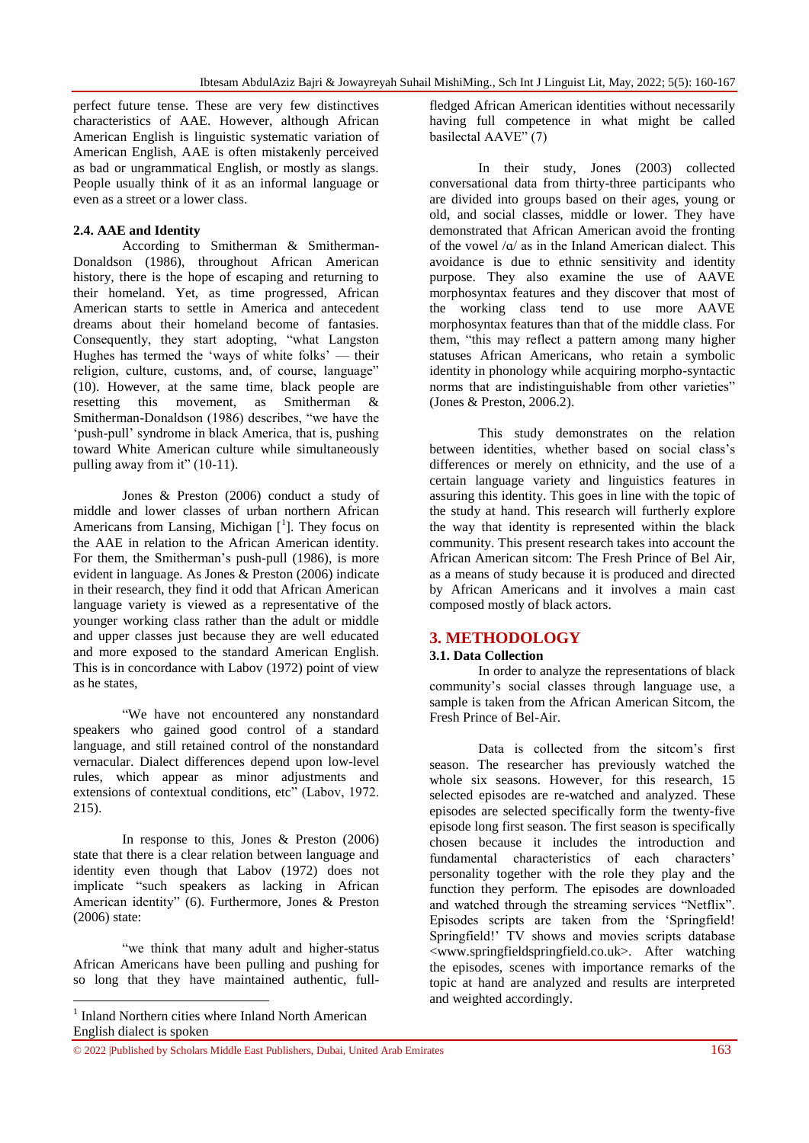perfect future tense. These are very few distinctives characteristics of AAE. However, although African American English is linguistic systematic variation of American English, AAE is often mistakenly perceived as bad or ungrammatical English, or mostly as slangs. People usually think of it as an informal language or even as a street or a lower class.

## **2.4. AAE and Identity**

According to Smitherman & Smitherman-Donaldson (1986), throughout African American history, there is the hope of escaping and returning to their homeland. Yet, as time progressed, African American starts to settle in America and antecedent dreams about their homeland become of fantasies. Consequently, they start adopting, "what Langston Hughes has termed the 'ways of white folks' — their religion, culture, customs, and, of course, language" (10). However, at the same time, black people are resetting this movement, as Smitherman & Smitherman-Donaldson (1986) describes, "we have the 'push-pull' syndrome in black America, that is, pushing toward White American culture while simultaneously pulling away from it" (10-11).

Jones & Preston (2006) conduct a study of middle and lower classes of urban northern African Americans from Lansing, Michigan  $[1]$ . They focus on the AAE in relation to the African American identity. For them, the Smitherman's push-pull (1986), is more evident in language. As Jones & Preston (2006) indicate in their research, they find it odd that African American language variety is viewed as a representative of the younger working class rather than the adult or middle and upper classes just because they are well educated and more exposed to the standard American English. This is in concordance with Labov (1972) point of view as he states,

"We have not encountered any nonstandard speakers who gained good control of a standard language, and still retained control of the nonstandard vernacular. Dialect differences depend upon low-level rules, which appear as minor adjustments and extensions of contextual conditions, etc" (Labov, 1972. 215).

In response to this, Jones & Preston (2006) state that there is a clear relation between language and identity even though that Labov (1972) does not implicate "such speakers as lacking in African American identity" (6). Furthermore, Jones & Preston (2006) state:

"we think that many adult and higher-status African Americans have been pulling and pushing for so long that they have maintained authentic, full-

 $\overline{a}$ 

fledged African American identities without necessarily having full competence in what might be called basilectal AAVE" (7)

In their study, Jones (2003) collected conversational data from thirty-three participants who are divided into groups based on their ages, young or old, and social classes, middle or lower. They have demonstrated that African American avoid the fronting of the vowel  $/\alpha$  as in the Inland American dialect. This avoidance is due to ethnic sensitivity and identity purpose. They also examine the use of AAVE morphosyntax features and they discover that most of the working class tend to use more AAVE morphosyntax features than that of the middle class. For them, "this may reflect a pattern among many higher statuses African Americans, who retain a symbolic identity in phonology while acquiring morpho-syntactic norms that are indistinguishable from other varieties" (Jones & Preston, 2006.2).

This study demonstrates on the relation between identities, whether based on social class"s differences or merely on ethnicity, and the use of a certain language variety and linguistics features in assuring this identity. This goes in line with the topic of the study at hand. This research will furtherly explore the way that identity is represented within the black community. This present research takes into account the African American sitcom: The Fresh Prince of Bel Air, as a means of study because it is produced and directed by African Americans and it involves a main cast composed mostly of black actors.

## **3. METHODOLOGY**

#### **3.1. Data Collection**

In order to analyze the representations of black community"s social classes through language use, a sample is taken from the African American Sitcom, the Fresh Prince of Bel-Air.

Data is collected from the sitcom"s first season. The researcher has previously watched the whole six seasons. However, for this research, 15 selected episodes are re-watched and analyzed. These episodes are selected specifically form the twenty-five episode long first season. The first season is specifically chosen because it includes the introduction and fundamental characteristics of each characters' personality together with the role they play and the function they perform. The episodes are downloaded and watched through the streaming services "Netflix". Episodes scripts are taken from the "Springfield! Springfield!' TV shows and movies scripts database [<www.springfieldspringfield.co.uk>](http://www.springfieldspringfield.co.uk/). After watching the episodes, scenes with importance remarks of the topic at hand are analyzed and results are interpreted and weighted accordingly.

<sup>&</sup>lt;sup>1</sup> Inland Northern cities where Inland North American English dialect is spoken

<sup>© 2022</sup> |Published by Scholars Middle East Publishers, Dubai, United Arab Emirates 163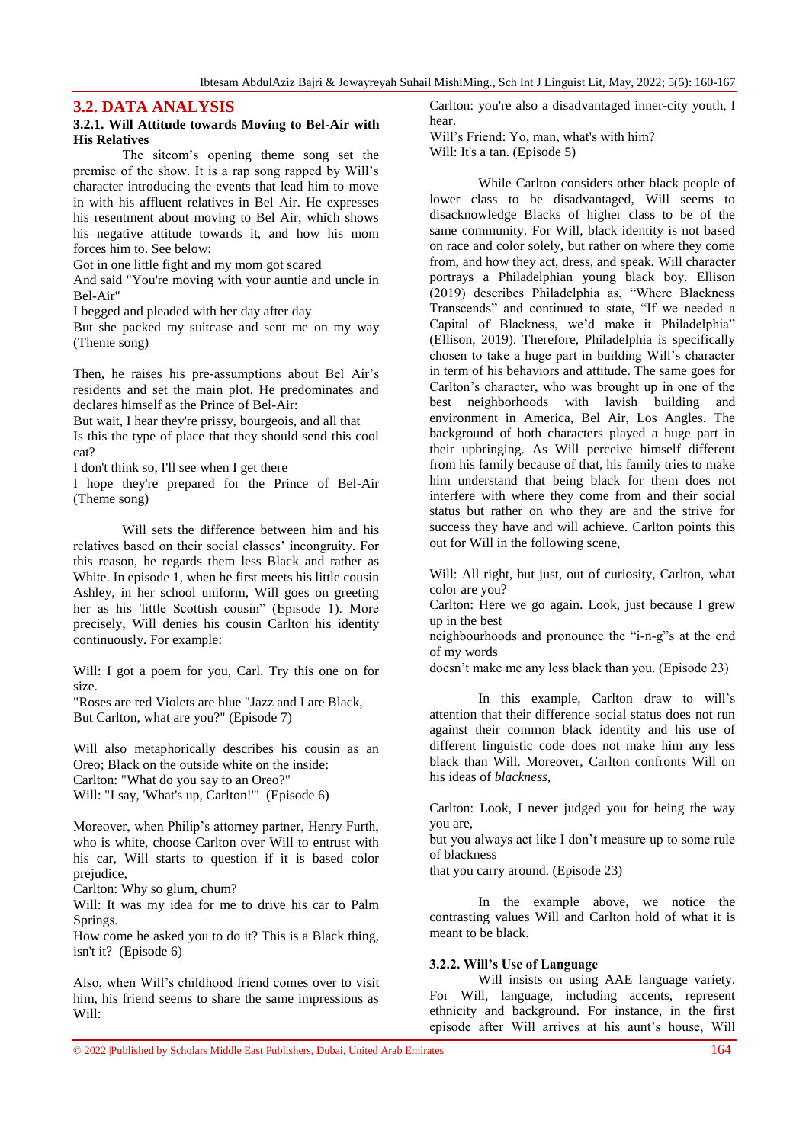## **3.2. DATA ANALYSIS**

#### **3.2.1. Will Attitude towards Moving to Bel-Air with His Relatives**

The sitcom"s opening theme song set the premise of the show. It is a rap song rapped by Will"s character introducing the events that lead him to move in with his affluent relatives in Bel Air. He expresses his resentment about moving to Bel Air, which shows his negative attitude towards it, and how his mom forces him to. See below:

Got in one little fight and my mom got scared

And said "You're moving with your auntie and uncle in Bel-Air"

I begged and pleaded with her day after day

But she packed my suitcase and sent me on my way (Theme song)

Then, he raises his pre-assumptions about Bel Air's residents and set the main plot. He predominates and declares himself as the Prince of Bel-Air:

But wait, I hear they're prissy, bourgeois, and all that Is this the type of place that they should send this cool cat?

I don't think so, I'll see when I get there

I hope they're prepared for the Prince of Bel-Air (Theme song)

Will sets the difference between him and his relatives based on their social classes' incongruity. For this reason, he regards them less Black and rather as White. In episode 1, when he first meets his little cousin Ashley, in her school uniform, Will goes on greeting her as his 'little Scottish cousin" (Episode 1). More precisely, Will denies his cousin Carlton his identity continuously. For example:

Will: I got a poem for you, Carl. Try this one on for size.

"Roses are red Violets are blue "Jazz and I are Black, But Carlton, what are you?" (Episode 7)

Will also metaphorically describes his cousin as an Oreo; Black on the outside white on the inside: Carlton: "What do you say to an Oreo?" Will: "I say, 'What's up, Carlton!" (Episode 6)

Moreover, when Philip"s attorney partner, Henry Furth, who is white, choose Carlton over Will to entrust with his car, Will starts to question if it is based color prejudice,

Carlton: Why so glum, chum?

Will: It was my idea for me to drive his car to Palm Springs.

How come he asked you to do it? This is a Black thing, isn't it? (Episode 6)

Also, when Will"s childhood friend comes over to visit him, his friend seems to share the same impressions as Will:

Carlton: you're also a disadvantaged inner-city youth, I hear.

Will"s Friend: Yo, man, what's with him? Will: It's a tan. (Episode 5)

While Carlton considers other black people of lower class to be disadvantaged, Will seems to disacknowledge Blacks of higher class to be of the same community. For Will, black identity is not based on race and color solely, but rather on where they come from, and how they act, dress, and speak. Will character portrays a Philadelphian young black boy. Ellison (2019) describes Philadelphia as, "Where Blackness Transcends" and continued to state, "If we needed a Capital of Blackness, we"d make it Philadelphia" (Ellison, 2019). Therefore, Philadelphia is specifically chosen to take a huge part in building Will"s character in term of his behaviors and attitude. The same goes for Carlton"s character, who was brought up in one of the best neighborhoods with lavish building and environment in America, Bel Air, Los Angles. The background of both characters played a huge part in their upbringing. As Will perceive himself different from his family because of that, his family tries to make him understand that being black for them does not interfere with where they come from and their social status but rather on who they are and the strive for success they have and will achieve. Carlton points this out for Will in the following scene,

Will: All right, but just, out of curiosity, Carlton, what color are you?

Carlton: Here we go again. Look, just because I grew up in the best

neighbourhoods and pronounce the "i-n-g"s at the end of my words

doesn"t make me any less black than you. (Episode 23)

In this example, Carlton draw to will"s attention that their difference social status does not run against their common black identity and his use of different linguistic code does not make him any less black than Will. Moreover, Carlton confronts Will on his ideas of *blackness,*

Carlton: Look, I never judged you for being the way you are,

but you always act like I don"t measure up to some rule of blackness

that you carry around. (Episode 23)

In the example above, we notice the contrasting values Will and Carlton hold of what it is meant to be black.

## **3.2.2. Will's Use of Language**

Will insists on using AAE language variety. For Will, language, including accents, represent ethnicity and background. For instance, in the first episode after Will arrives at his aunt's house, Will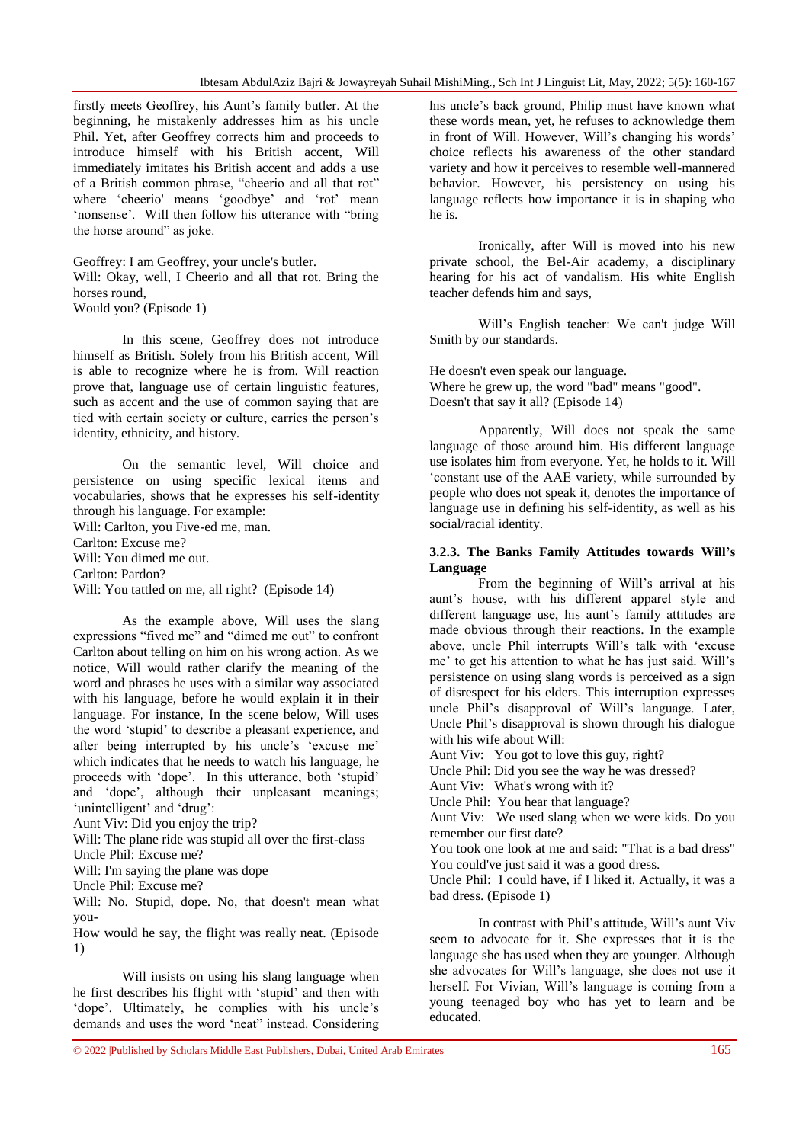firstly meets Geoffrey, his Aunt's family butler. At the beginning, he mistakenly addresses him as his uncle Phil. Yet, after Geoffrey corrects him and proceeds to introduce himself with his British accent, Will immediately imitates his British accent and adds a use of a British common phrase, "cheerio and all that rot" where "cheerio' means "goodbye" and "rot" mean 'nonsense'. Will then follow his utterance with "bring" the horse around" as joke.

Geoffrey: I am Geoffrey, your uncle's butler.

Will: Okay, well, I Cheerio and all that rot. Bring the horses round,

Would you? (Episode 1)

In this scene, Geoffrey does not introduce himself as British. Solely from his British accent, Will is able to recognize where he is from. Will reaction prove that, language use of certain linguistic features, such as accent and the use of common saying that are tied with certain society or culture, carries the person"s identity, ethnicity, and history.

On the semantic level, Will choice and persistence on using specific lexical items and vocabularies, shows that he expresses his self-identity through his language. For example: Will: Carlton, you Five-ed me, man. Carlton: Excuse me? Will: You dimed me out. Carlton: Pardon? Will: You tattled on me, all right? (Episode 14)

As the example above, Will uses the slang expressions "fived me" and "dimed me out" to confront Carlton about telling on him on his wrong action. As we notice, Will would rather clarify the meaning of the word and phrases he uses with a similar way associated with his language, before he would explain it in their language. For instance, In the scene below, Will uses the word "stupid" to describe a pleasant experience, and after being interrupted by his uncle's 'excuse me' which indicates that he needs to watch his language, he proceeds with 'dope'. In this utterance, both 'stupid' and "dope", although their unpleasant meanings; 'unintelligent' and 'drug':

Aunt Viv: Did you enjoy the trip?

Will: The plane ride was stupid all over the first-class Uncle Phil: Excuse me?

Will: I'm saying the plane was dope

Uncle Phil: Excuse me?

Will: No. Stupid, dope. No, that doesn't mean what you-

How would he say, the flight was really neat. (Episode 1)

Will insists on using his slang language when he first describes his flight with "stupid" and then with 'dope'. Ultimately, he complies with his uncle's demands and uses the word "neat" instead. Considering

his uncle"s back ground, Philip must have known what these words mean, yet, he refuses to acknowledge them in front of Will. However, Will's changing his words' choice reflects his awareness of the other standard variety and how it perceives to resemble well-mannered behavior. However, his persistency on using his language reflects how importance it is in shaping who he is.

Ironically, after Will is moved into his new private school, the Bel-Air academy, a disciplinary hearing for his act of vandalism. His white English teacher defends him and says,

Will"s English teacher: We can't judge Will Smith by our standards.

He doesn't even speak our language. Where he grew up, the word "bad" means "good". Doesn't that say it all? (Episode 14)

Apparently, Will does not speak the same language of those around him. His different language use isolates him from everyone. Yet, he holds to it. Will "constant use of the AAE variety, while surrounded by people who does not speak it, denotes the importance of language use in defining his self-identity, as well as his social/racial identity.

#### **3.2.3. The Banks Family Attitudes towards Will's Language**

From the beginning of Will"s arrival at his aunt"s house, with his different apparel style and different language use, his aunt's family attitudes are made obvious through their reactions. In the example above, uncle Phil interrupts Will's talk with 'excuse me" to get his attention to what he has just said. Will"s persistence on using slang words is perceived as a sign of disrespect for his elders. This interruption expresses uncle Phil"s disapproval of Will"s language. Later, Uncle Phil"s disapproval is shown through his dialogue with his wife about Will:

Aunt Viv: You got to love this guy, right?

Uncle Phil: Did you see the way he was dressed?

Aunt Viv: What's wrong with it?

Uncle Phil: You hear that language?

Aunt Viv: We used slang when we were kids. Do you remember our first date?

You took one look at me and said: "That is a bad dress" You could've just said it was a good dress.

Uncle Phil: I could have, if I liked it. Actually, it was a bad dress. (Episode 1)

In contrast with Phil"s attitude, Will"s aunt Viv seem to advocate for it. She expresses that it is the language she has used when they are younger. Although she advocates for Will"s language, she does not use it herself. For Vivian, Will's language is coming from a young teenaged boy who has yet to learn and be educated.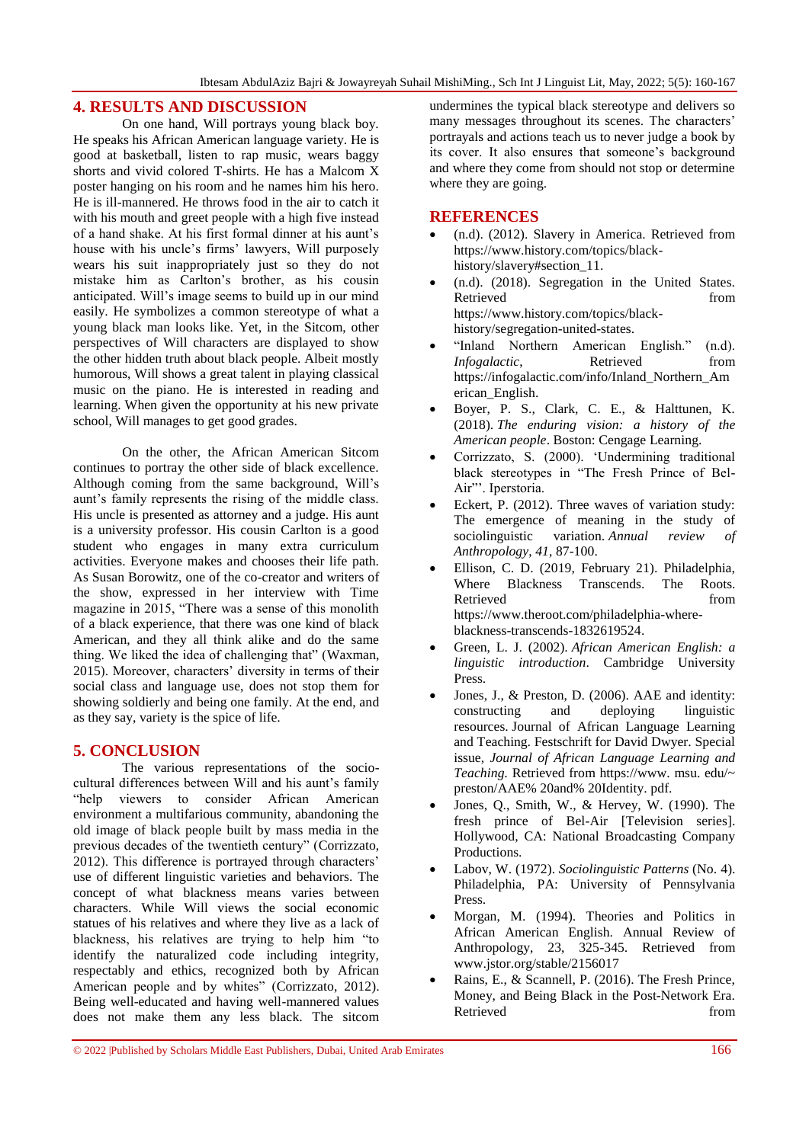## **4. RESULTS AND DISCUSSION**

On one hand, Will portrays young black boy. He speaks his African American language variety. He is good at basketball, listen to rap music, wears baggy shorts and vivid colored T-shirts. He has a Malcom X poster hanging on his room and he names him his hero. He is ill-mannered. He throws food in the air to catch it with his mouth and greet people with a high five instead of a hand shake. At his first formal dinner at his aunt"s house with his uncle's firms' lawyers, Will purposely wears his suit inappropriately just so they do not mistake him as Carlton"s brother, as his cousin anticipated. Will"s image seems to build up in our mind easily. He symbolizes a common stereotype of what a young black man looks like. Yet, in the Sitcom, other perspectives of Will characters are displayed to show the other hidden truth about black people. Albeit mostly humorous, Will shows a great talent in playing classical music on the piano. He is interested in reading and learning. When given the opportunity at his new private school, Will manages to get good grades.

On the other, the African American Sitcom continues to portray the other side of black excellence. Although coming from the same background, Will"s aunt's family represents the rising of the middle class. His uncle is presented as attorney and a judge. His aunt is a university professor. His cousin Carlton is a good student who engages in many extra curriculum activities. Everyone makes and chooses their life path. As Susan Borowitz, one of the co-creator and writers of the show, expressed in her interview with Time magazine in 2015, "There was a sense of this monolith of a black experience, that there was one kind of black American, and they all think alike and do the same thing. We liked the idea of challenging that" (Waxman, 2015). Moreover, characters' diversity in terms of their social class and language use, does not stop them for showing soldierly and being one family. At the end, and as they say, variety is the spice of life.

## **5. CONCLUSION**

The various representations of the sociocultural differences between Will and his aunt's family "help viewers to consider African American environment a multifarious community, abandoning the old image of black people built by mass media in the previous decades of the twentieth century" (Corrizzato, 2012). This difference is portrayed through characters' use of different linguistic varieties and behaviors. The concept of what blackness means varies between characters. While Will views the social economic statues of his relatives and where they live as a lack of blackness, his relatives are trying to help him "to identify the naturalized code including integrity, respectably and ethics, recognized both by African American people and by whites" (Corrizzato, 2012). Being well-educated and having well-mannered values does not make them any less black. The sitcom undermines the typical black stereotype and delivers so many messages throughout its scenes. The characters' portrayals and actions teach us to never judge a book by its cover. It also ensures that someone's background and where they come from should not stop or determine where they are going.

## **REFERENCES**

- (n.d). (2012). Slavery in America. Retrieved from https://www.history.com/topics/blackhistory/slavery#section\_11.
- (n.d). (2018). Segregation in the United States. Retrieved from from https://www.history.com/topics/blackhistory/segregation-united-states.
- "Inland Northern American English." (n.d). *Infogalactic*, Retrieved from [https://infogalactic.com/info/Inland\\_Northern\\_Am](https://infogalactic.com/info/Inland_Northern_American_English) [erican\\_English.](https://infogalactic.com/info/Inland_Northern_American_English)
- Boyer, P. S., Clark, C. E., & Halttunen, K. (2018). *The enduring vision: a history of the American people*. Boston: Cengage Learning.
- Corrizzato, S. (2000). "Undermining traditional black stereotypes in "The Fresh Prince of Bel-Air"<sup>"</sup>. Iperstoria.
- Eckert, P. (2012). Three waves of variation study: The emergence of meaning in the study of sociolinguistic variation. *Annual review of Anthropology*, *41*, 87-100.
- Ellison, C. D. (2019, February 21). Philadelphia, Where Blackness Transcends. The Roots. Retrieved from  $\sim$ [https://www.theroot.com/philadelphia-where](https://www.theroot.com/philadelphia-where-blackness-transcends-1832619524)[blackness-transcends-1832619524.](https://www.theroot.com/philadelphia-where-blackness-transcends-1832619524)
- Green, L. J. (2002). *African American English: a linguistic introduction*. Cambridge University Press.
- Jones, J., & Preston, D. (2006). AAE and identity: constructing and deploying linguistic resources. Journal of African Language Learning and Teaching. Festschrift for David Dwyer. Special issue, *Journal of African Language Learning and Teaching.* Retrieved from https://www. msu. edu/~ preston/AAE% 20and% 20Identity. pdf.
- Jones, Q., Smith, W., & Hervey, W. (1990). The fresh prince of Bel-Air [Television series]. Hollywood, CA: National Broadcasting Company Productions.
- Labov, W. (1972). *Sociolinguistic Patterns* (No. 4). Philadelphia, PA: University of Pennsylvania Press.
- Morgan, M. (1994). Theories and Politics in African American English. Annual Review of Anthropology, 23, 325-345. Retrieved from [www.jstor.org/stable/2156017](http://www.jstor.org/stable/2156017)
- Rains, E., & Scannell, P. (2016). The Fresh Prince, Money, and Being Black in the Post-Network Era. Retrieved from  $\sim$